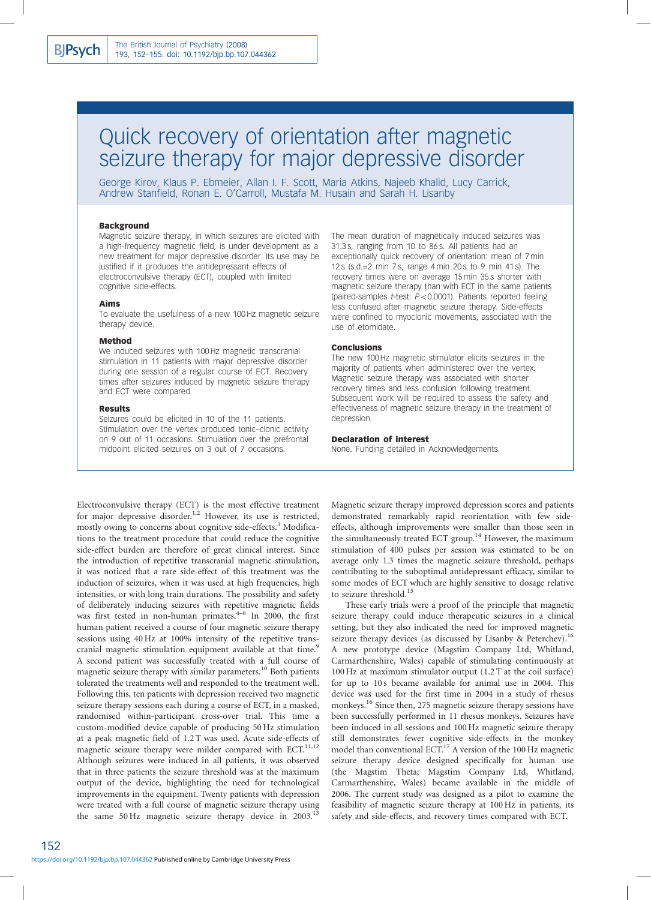# Quick recovery of orientation after magnetic seizure therapy for major depressive disorder

George Kirov, Klaus P. Ebmeier, Allan I. F. Scott, Maria Atkins, Najeeb Khalid, Lucy Carrick, Andrew Stanfield, Ronan E. O'Carroll, Mustafa M. Husain and Sarah H. Lisanby

#### Background

Magnetic seizure therapy, in which seizures are elicited with a high-frequency magnetic field, is under development as a new treatment for major depressive disorder. Its use may be justified if it produces the antidepressant effects of electroconvulsive therapy (ECT), coupled with limited cognitive side-effects.

#### Aims

To evaluate the usefulness of a new 100 Hz magnetic seizure therapy device.

#### Method

We induced seizures with 100 Hz magnetic transcranial stimulation in 11 patients with major depressive disorder during one session of a regular course of ECT. Recovery times after seizures induced by magnetic seizure therapy and ECT were compared.

#### Results

Seizures could be elicited in 10 of the 11 patients. Stimulation over the vertex produced tonic–clonic activity on 9 out of 11 occasions. Stimulation over the prefrontal midpoint elicited seizures on 3 out of 7 occasions.

The mean duration of magnetically induced seizures was 31.3 s, ranging from 10 to 86 s. All patients had an exceptionally quick recovery of orientation: mean of 7 min 12 s (s.d.=2 min 7 s, range 4 min 20 s to 9 min 41 s). The recovery times were on average 15 min 35 s shorter with magnetic seizure therapy than with ECT in the same patients (paired-samples *t*-test:  $P < 0.0001$ ). Patients reported feeling less confused after magnetic seizure therapy. Side-effects were confined to myoclonic movements, associated with the use of etomidate.

#### Conclusions

The new 100 Hz magnetic stimulator elicits seizures in the majority of patients when administered over the vertex. Magnetic seizure therapy was associated with shorter recovery times and less confusion following treatment. Subsequent work will be required to assess the safety and effectiveness of magnetic seizure therapy in the treatment of depression.

### Declaration of interest

None. Funding detailed in Acknowledgements.

Electroconvulsive therapy (ECT) is the most effective treatment for major depressive disorder.<sup>1,2</sup> However, its use is restricted, mostly owing to concerns about cognitive side-effects.<sup>3</sup> Modifications to the treatment procedure that could reduce the cognitive side-effect burden are therefore of great clinical interest. Since the introduction of repetitive transcranial magnetic stimulation, it was noticed that a rare side-effect of this treatment was the induction of seizures, when it was used at high frequencies, high intensities, or with long train durations. The possibility and safety of deliberately inducing seizures with repetitive magnetic fields was first tested in non-human primates.<sup>4-8</sup> In 2000, the first human patient received a course of four magnetic seizure therapy sessions using 40 Hz at 100% intensity of the repetitive transcranial magnetic stimulation equipment available at that time.<sup>9</sup> A second patient was successfully treated with a full course of magnetic seizure therapy with similar parameters.<sup>10</sup> Both patients tolerated the treatments well and responded to the treatment well. Following this, ten patients with depression received two magnetic seizure therapy sessions each during a course of ECT, in a masked, randomised within-participant cross-over trial. This time a custom-modified device capable of producing 50 Hz stimulation at a peak magnetic field of 1.2 T was used. Acute side-effects of magnetic seizure therapy were milder compared with ECT.<sup>11,12</sup> Although seizures were induced in all patients, it was observed that in three patients the seizure threshold was at the maximum output of the device, highlighting the need for technological improvements in the equipment. Twenty patients with depression were treated with a full course of magnetic seizure therapy using the same 50 Hz magnetic seizure therapy device in  $2003$ .<sup>13</sup>

Magnetic seizure therapy improved depression scores and patients demonstrated remarkably rapid reorientation with few sideeffects, although improvements were smaller than those seen in the simultaneously treated ECT group.<sup>14</sup> However, the maximum stimulation of 400 pulses per session was estimated to be on average only 1.3 times the magnetic seizure threshold, perhaps contributing to the suboptimal antidepressant efficacy, similar to some modes of ECT which are highly sensitive to dosage relative to seizure threshold.<sup>15</sup>

These early trials were a proof of the principle that magnetic seizure therapy could induce therapeutic seizures in a clinical setting, but they also indicated the need for improved magnetic seizure therapy devices (as discussed by Lisanby & Peterchev).<sup>16</sup> A new prototype device (Magstim Company Ltd, Whitland, Carmarthenshire, Wales) capable of stimulating continuously at 100 Hz at maximum stimulator output (1.2 T at the coil surface) for up to 10 s became available for animal use in 2004. This device was used for the first time in 2004 in a study of rhesus monkeys.<sup>16</sup> Since then, 275 magnetic seizure therapy sessions have been successfully performed in 11 rhesus monkeys. Seizures have been induced in all sessions and 100 Hz magnetic seizure therapy still demonstrates fewer cognitive side-effects in the monkey model than conventional ECT.<sup>17</sup> A version of the 100 Hz magnetic seizure therapy device designed specifically for human use (the Magstim Theta; Magstim Company Ltd, Whitland, Carmarthenshire, Wales) became available in the middle of 2006. The current study was designed as a pilot to examine the feasibility of magnetic seizure therapy at 100 Hz in patients, its safety and side-effects, and recovery times compared with ECT.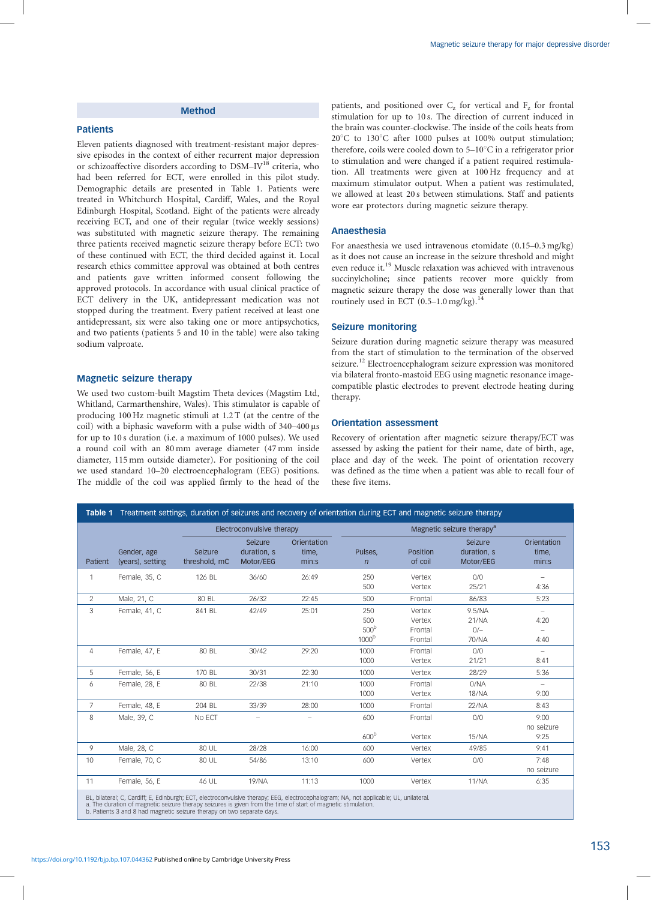# Method

# Patients

Eleven patients diagnosed with treatment-resistant major depressive episodes in the context of either recurrent major depression or schizoaffective disorders according to DSM-IV<sup>18</sup> criteria, who had been referred for ECT, were enrolled in this pilot study. Demographic details are presented in Table 1. Patients were treated in Whitchurch Hospital, Cardiff, Wales, and the Royal Edinburgh Hospital, Scotland. Eight of the patients were already receiving ECT, and one of their regular (twice weekly sessions) was substituted with magnetic seizure therapy. The remaining three patients received magnetic seizure therapy before ECT: two of these continued with ECT, the third decided against it. Local research ethics committee approval was obtained at both centres and patients gave written informed consent following the approved protocols. In accordance with usual clinical practice of ECT delivery in the UK, antidepressant medication was not stopped during the treatment. Every patient received at least one antidepressant, six were also taking one or more antipsychotics, and two patients (patients 5 and 10 in the table) were also taking sodium valproate.

## Magnetic seizure therapy

We used two custom-built Magstim Theta devices (Magstim Ltd, Whitland, Carmarthenshire, Wales). This stimulator is capable of producing 100 Hz magnetic stimuli at 1.2 T (at the centre of the coil) with a biphasic waveform with a pulse width of  $340-400 \,\mu s$ for up to 10 s duration (i.e. a maximum of 1000 pulses). We used a round coil with an 80 mm average diameter (47 mm inside diameter, 115 mm outside diameter). For positioning of the coil we used standard 10–20 electroencephalogram (EEG) positions. The middle of the coil was applied firmly to the head of the patients, and positioned over  $C_z$  for vertical and  $F_z$  for frontal stimulation for up to 10 s. The direction of current induced in the brain was counter-clockwise. The inside of the coils heats from  $20^{\circ}$ C to 130 $^{\circ}$ C after 1000 pulses at 100% output stimulation; therefore, coils were cooled down to  $5-10^{\circ}$ C in a refrigerator prior to stimulation and were changed if a patient required restimulation. All treatments were given at 100 Hz frequency and at maximum stimulator output. When a patient was restimulated, we allowed at least 20 s between stimulations. Staff and patients wore ear protectors during magnetic seizure therapy.

## Anaesthesia

For anaesthesia we used intravenous etomidate (0.15–0.3 mg/kg) as it does not cause an increase in the seizure threshold and might even reduce it.<sup>19</sup> Muscle relaxation was achieved with intravenous succinylcholine; since patients recover more quickly from magnetic seizure therapy the dose was generally lower than that routinely used in ECT  $(0.5-1.0 \text{ mg/kg})$ .<sup>14</sup>

## Seizure monitoring

Seizure duration during magnetic seizure therapy was measured from the start of stimulation to the termination of the observed seizure.<sup>12</sup> Electroencephalogram seizure expression was monitored via bilateral fronto-mastoid EEG using magnetic resonance imagecompatible plastic electrodes to prevent electrode heating during therapy.

#### Orientation assessment

Recovery of orientation after magnetic seizure therapy/ECT was assessed by asking the patient for their name, date of birth, age, place and day of the week. The point of orientation recovery was defined as the time when a patient was able to recall four of these five items.

| Table 1 Treatment settings, duration of seizures and recovery of orientation during ECT and magnetic seizure therapy                  |                                 |                          |                                     |                               |                                                     |                                        |                                     |                                      |  |
|---------------------------------------------------------------------------------------------------------------------------------------|---------------------------------|--------------------------|-------------------------------------|-------------------------------|-----------------------------------------------------|----------------------------------------|-------------------------------------|--------------------------------------|--|
|                                                                                                                                       | Electroconvulsive therapy       |                          |                                     |                               | Magnetic seizure therapy <sup>a</sup>               |                                        |                                     |                                      |  |
| Patient                                                                                                                               | Gender, age<br>(years), setting | Seizure<br>threshold, mC | Seizure<br>duration, s<br>Motor/EEG | Orientation<br>time,<br>min:s | Pulses,<br>$\overline{n}$                           | Position<br>of coil                    | Seizure<br>duration, s<br>Motor/EEG | Orientation<br>time,<br>min:s        |  |
| $\mathbf{1}$                                                                                                                          | Female, 35, C                   | 126 BL                   | 36/60                               | 26:49                         | 250<br>500                                          | Vertex<br>Vertex                       | 0/0<br>25/21                        | $\overline{\phantom{m}}$<br>4:36     |  |
| $\mathcal{L}$                                                                                                                         | Male, 21, C                     | 80 BL                    | 26/32                               | 22:45                         | 500                                                 | Frontal                                | 86/83                               | 5:23                                 |  |
| 3                                                                                                                                     | Female, 41, C                   | 841 BL                   | 42/49                               | 25:01                         | 250<br>500<br>500 <sup>b</sup><br>1000 <sup>b</sup> | Vertex<br>Vertex<br>Frontal<br>Frontal | 9.5/NA<br>21/NA<br>$0/-$<br>70/NA   | $\equiv$<br>4:20<br>$\equiv$<br>4:40 |  |
| 4                                                                                                                                     | Female, 47, E                   | 80 BL                    | 30/42                               | 29:20                         | 1000<br>1000                                        | Frontal<br>Vertex                      | 0/0<br>21/21                        | $\overline{\phantom{m}}$<br>8:41     |  |
| 5                                                                                                                                     | Female, 56, E                   | 170 BL                   | 30/31                               | 22:30                         | 1000                                                | Vertex                                 | 28/29                               | 5:36                                 |  |
| 6                                                                                                                                     | Female, 28, E                   | 80 BL                    | 22/38                               | 21:10                         | 1000<br>1000                                        | Frontal<br>Vertex                      | 0/NA<br><b>18/NA</b>                | $\frac{1}{2}$<br>9:00                |  |
| 7                                                                                                                                     | Female, 48, E                   | 204 BL                   | 33/39                               | 28:00                         | 1000                                                | Frontal                                | 22/NA                               | 8:43                                 |  |
| 8                                                                                                                                     | Male, 39, C                     | No ECT                   |                                     |                               | 600<br>600 <sup>b</sup>                             | Frontal<br>Vertex                      | 0/0<br><b>15/NA</b>                 | 9:00<br>no seizure<br>9:25           |  |
| 9                                                                                                                                     | Male, 28, C                     | 80 UL                    | 28/28                               | 16:00                         | 600                                                 | Vertex                                 | 49/85                               | 9:41                                 |  |
| 10                                                                                                                                    | Female, 70, C                   | 80 UL                    | 54/86                               | 13:10                         | 600                                                 | Vertex                                 | 0/0                                 | 7:48<br>no seizure                   |  |
| 11                                                                                                                                    | Female, 56, E                   | 46 UL                    | 19/NA                               | 11:13                         | 1000                                                | Vertex                                 | <b>11/NA</b>                        | 6:35                                 |  |
| BL, bilateral; C, Cardiff; E, Edinburgh; ECT, electroconvulsive therapy; EEG, electrocephalogram; NA, not applicable; UL, unilateral. |                                 |                          |                                     |                               |                                                     |                                        |                                     |                                      |  |

BL, bilateral; C, Cardiff; E, Edinburgh; ECT, electroconvulsive therapy; EEG, electrocephalogram; NA, not applicable; UL, unilateral.<br>a. The duration of magnetic seizure therapy seizures is given from the time of start of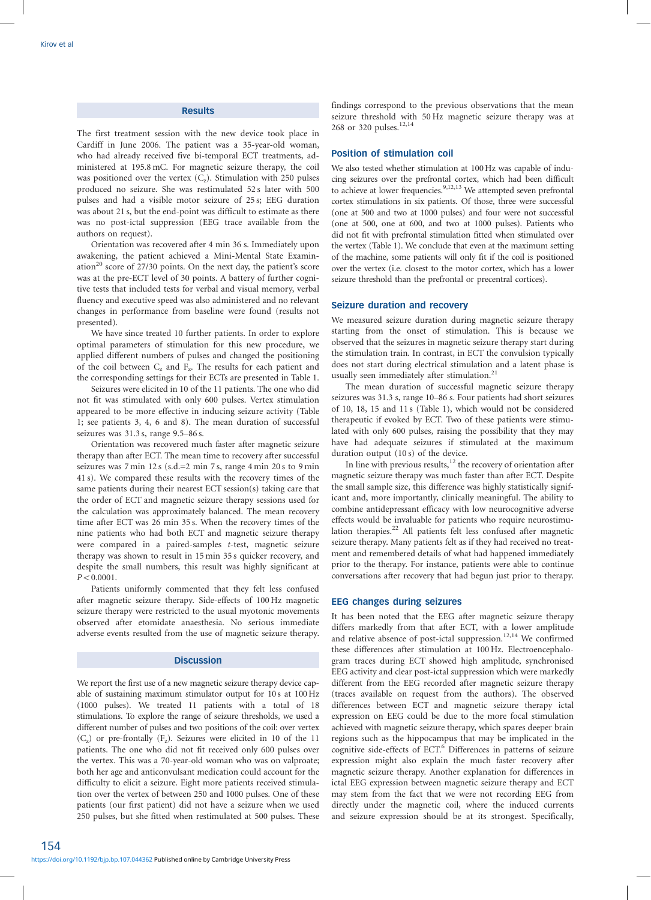## **Results**

The first treatment session with the new device took place in Cardiff in June 2006. The patient was a 35-year-old woman, who had already received five bi-temporal ECT treatments, administered at 195.8 mC. For magnetic seizure therapy, the coil was positioned over the vertex  $(C_z)$ . Stimulation with 250 pulses produced no seizure. She was restimulated 52 s later with 500 pulses and had a visible motor seizure of 25 s; EEG duration was about 21 s, but the end-point was difficult to estimate as there was no post-ictal suppression (EEG trace available from the authors on request).

Orientation was recovered after 4 min 36 s. Immediately upon awakening, the patient achieved a Mini-Mental State Examination<sup>20</sup> score of 27/30 points. On the next day, the patient's score was at the pre-ECT level of 30 points. A battery of further cognitive tests that included tests for verbal and visual memory, verbal fluency and executive speed was also administered and no relevant changes in performance from baseline were found (results not presented).

We have since treated 10 further patients. In order to explore optimal parameters of stimulation for this new procedure, we applied different numbers of pulses and changed the positioning of the coil between  $C_z$  and  $F_z$ . The results for each patient and the corresponding settings for their ECTs are presented in Table 1.

Seizures were elicited in 10 of the 11 patients. The one who did not fit was stimulated with only 600 pulses. Vertex stimulation appeared to be more effective in inducing seizure activity (Table 1; see patients 3, 4, 6 and 8). The mean duration of successful seizures was 31.3 s, range 9.5–86 s.

Orientation was recovered much faster after magnetic seizure therapy than after ECT. The mean time to recovery after successful seizures was 7 min 12 s (s.d.=2 min 7 s, range 4 min 20 s to 9 min 41 s). We compared these results with the recovery times of the same patients during their nearest ECT session(s) taking care that the order of ECT and magnetic seizure therapy sessions used for the calculation was approximately balanced. The mean recovery time after ECT was 26 min 35 s. When the recovery times of the nine patients who had both ECT and magnetic seizure therapy were compared in a paired-samples t-test, magnetic seizure therapy was shown to result in 15 min 35 s quicker recovery, and despite the small numbers, this result was highly significant at  $P < 0.0001$ .

Patients uniformly commented that they felt less confused after magnetic seizure therapy. Side-effects of 100 Hz magnetic seizure therapy were restricted to the usual myotonic movements observed after etomidate anaesthesia. No serious immediate adverse events resulted from the use of magnetic seizure therapy.

## **Discussion**

We report the first use of a new magnetic seizure therapy device capable of sustaining maximum stimulator output for 10 s at 100 Hz (1000 pulses). We treated 11 patients with a total of 18 stimulations. To explore the range of seizure thresholds, we used a different number of pulses and two positions of the coil: over vertex  $(C<sub>z</sub>)$  or pre-frontally  $(F<sub>z</sub>)$ . Seizures were elicited in 10 of the 11 patients. The one who did not fit received only 600 pulses over the vertex. This was a 70-year-old woman who was on valproate; both her age and anticonvulsant medication could account for the difficulty to elicit a seizure. Eight more patients received stimulation over the vertex of between 250 and 1000 pulses. One of these patients (our first patient) did not have a seizure when we used 250 pulses, but she fitted when restimulated at 500 pulses. These

findings correspond to the previous observations that the mean seizure threshold with 50 Hz magnetic seizure therapy was at 268 or 320 pulses.<sup>12,14</sup>

#### Position of stimulation coil

We also tested whether stimulation at 100 Hz was capable of inducing seizures over the prefrontal cortex, which had been difficult to achieve at lower frequencies.<sup>9,12,13</sup> We attempted seven prefrontal cortex stimulations in six patients. Of those, three were successful (one at 500 and two at 1000 pulses) and four were not successful (one at 500, one at 600, and two at 1000 pulses). Patients who did not fit with prefrontal stimulation fitted when stimulated over the vertex (Table 1). We conclude that even at the maximum setting of the machine, some patients will only fit if the coil is positioned over the vertex (i.e. closest to the motor cortex, which has a lower seizure threshold than the prefrontal or precentral cortices).

#### Seizure duration and recovery

We measured seizure duration during magnetic seizure therapy starting from the onset of stimulation. This is because we observed that the seizures in magnetic seizure therapy start during the stimulation train. In contrast, in ECT the convulsion typically does not start during electrical stimulation and a latent phase is usually seen immediately after stimulation.<sup>21</sup>

The mean duration of successful magnetic seizure therapy seizures was 31.3 s, range 10–86 s. Four patients had short seizures of 10, 18, 15 and 11 s (Table 1), which would not be considered therapeutic if evoked by ECT. Two of these patients were stimulated with only 600 pulses, raising the possibility that they may have had adequate seizures if stimulated at the maximum duration output (10 s) of the device.

In line with previous results, $12$  the recovery of orientation after magnetic seizure therapy was much faster than after ECT. Despite the small sample size, this difference was highly statistically significant and, more importantly, clinically meaningful. The ability to combine antidepressant efficacy with low neurocognitive adverse effects would be invaluable for patients who require neurostimulation therapies.<sup>22</sup> All patients felt less confused after magnetic seizure therapy. Many patients felt as if they had received no treatment and remembered details of what had happened immediately prior to the therapy. For instance, patients were able to continue conversations after recovery that had begun just prior to therapy.

#### EEG changes during seizures

It has been noted that the EEG after magnetic seizure therapy differs markedly from that after ECT, with a lower amplitude and relative absence of post-ictal suppression.<sup>12,14</sup> We confirmed these differences after stimulation at 100 Hz. Electroencephalogram traces during ECT showed high amplitude, synchronised EEG activity and clear post-ictal suppression which were markedly different from the EEG recorded after magnetic seizure therapy (traces available on request from the authors). The observed differences between ECT and magnetic seizure therapy ictal expression on EEG could be due to the more focal stimulation achieved with magnetic seizure therapy, which spares deeper brain regions such as the hippocampus that may be implicated in the cognitive side-effects of ECT.<sup>6</sup> Differences in patterns of seizure expression might also explain the much faster recovery after magnetic seizure therapy. Another explanation for differences in ictal EEG expression between magnetic seizure therapy and ECT may stem from the fact that we were not recording EEG from directly under the magnetic coil, where the induced currents and seizure expression should be at its strongest. Specifically,

154